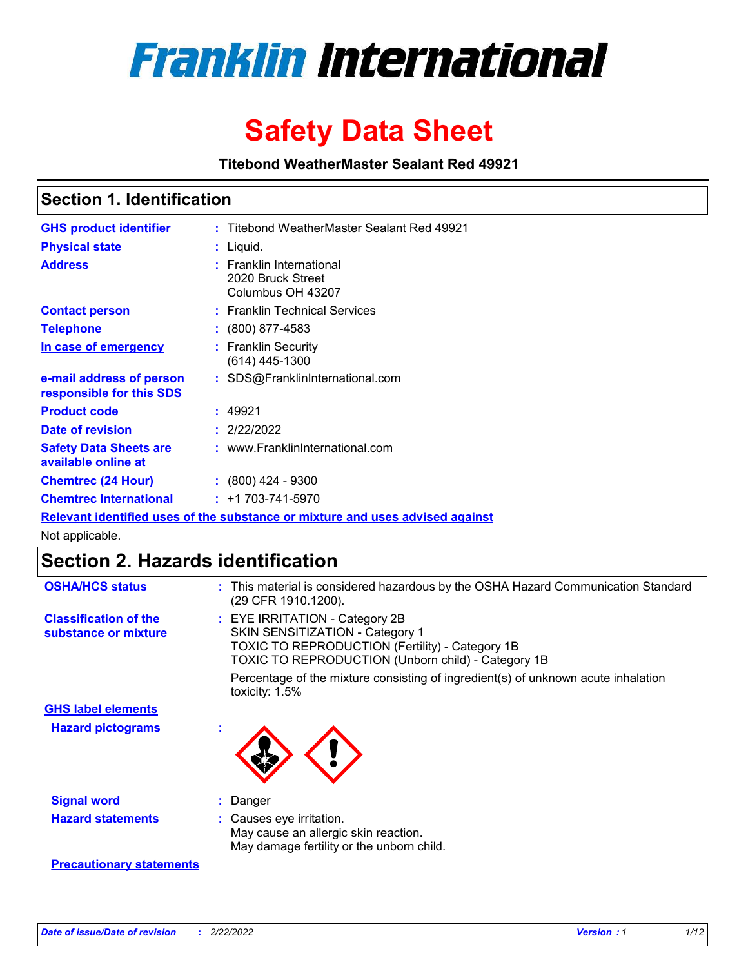

# **Safety Data Sheet**

**Titebond WeatherMaster Sealant Red 49921**

### **Section 1. Identification**

| <b>GHS product identifier</b>                        | : Titebond WeatherMaster Sealant Red 49921                                    |
|------------------------------------------------------|-------------------------------------------------------------------------------|
| <b>Physical state</b>                                | $:$ Liquid.                                                                   |
| <b>Address</b>                                       | : Franklin International<br>2020 Bruck Street<br>Columbus OH 43207            |
| <b>Contact person</b>                                | : Franklin Technical Services                                                 |
| <b>Telephone</b>                                     | $\colon$ (800) 877-4583                                                       |
| In case of emergency                                 | : Franklin Security<br>(614) 445-1300                                         |
| e-mail address of person<br>responsible for this SDS | : SDS@FranklinInternational.com                                               |
| <b>Product code</b>                                  | : 49921                                                                       |
| Date of revision                                     | : 2/22/2022                                                                   |
| <b>Safety Data Sheets are</b><br>available online at | : www.FranklinInternational.com                                               |
| <b>Chemtrec (24 Hour)</b>                            | : (800) 424 - 9300                                                            |
| <b>Chemtrec International</b>                        | $: +1703 - 741 - 5970$                                                        |
|                                                      | Relevant identified uses of the substance or mixture and uses advised against |

Not applicable.

## **Section 2. Hazards identification**

| <b>OSHA/HCS status</b>                               | : This material is considered hazardous by the OSHA Hazard Communication Standard<br>(29 CFR 1910.1200).                                                                                 |
|------------------------------------------------------|------------------------------------------------------------------------------------------------------------------------------------------------------------------------------------------|
| <b>Classification of the</b><br>substance or mixture | : EYE IRRITATION - Category 2B<br>SKIN SENSITIZATION - Category 1<br><b>TOXIC TO REPRODUCTION (Fertility) - Category 1B</b><br><b>TOXIC TO REPRODUCTION (Unborn child) - Category 1B</b> |
|                                                      | Percentage of the mixture consisting of ingredient(s) of unknown acute inhalation<br>toxicity: $1.5\%$                                                                                   |
| <b>GHS label elements</b>                            |                                                                                                                                                                                          |
| <b>Hazard pictograms</b>                             |                                                                                                                                                                                          |
| <b>Signal word</b>                                   | : Danger                                                                                                                                                                                 |
| <b>Hazard statements</b>                             | : Causes eye irritation.<br>May cause an allergic skin reaction.<br>May damage fertility or the unborn child.                                                                            |
| <b>Precautionary statements</b>                      |                                                                                                                                                                                          |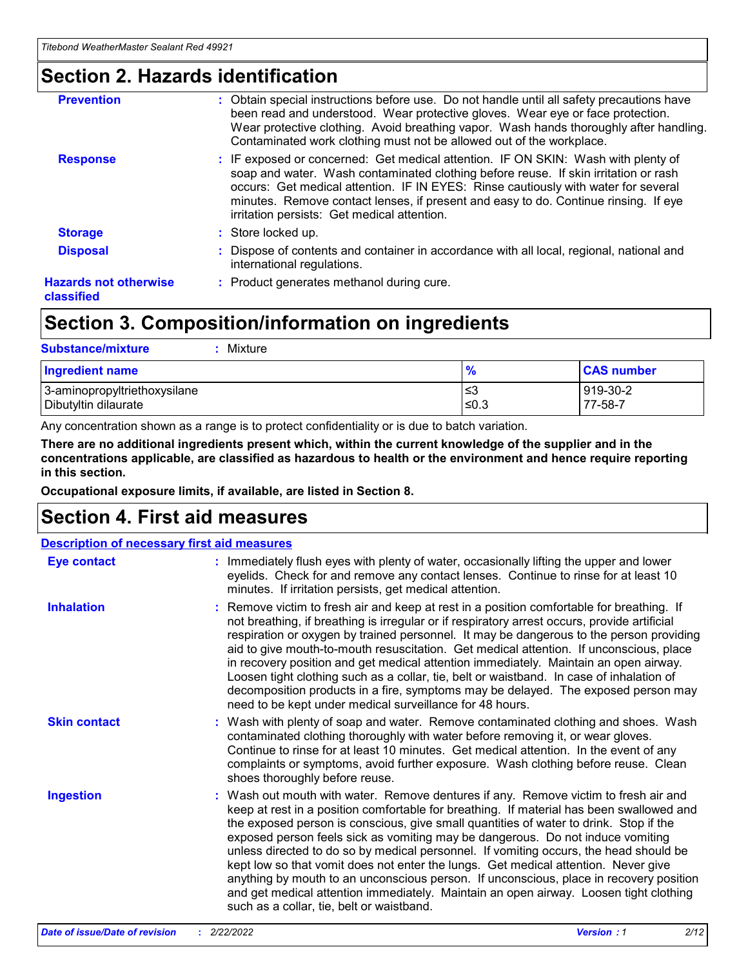### **Section 2. Hazards identification**

| <b>Prevention</b>                          | : Obtain special instructions before use. Do not handle until all safety precautions have<br>been read and understood. Wear protective gloves. Wear eye or face protection.<br>Wear protective clothing. Avoid breathing vapor. Wash hands thoroughly after handling.<br>Contaminated work clothing must not be allowed out of the workplace.                                                        |
|--------------------------------------------|------------------------------------------------------------------------------------------------------------------------------------------------------------------------------------------------------------------------------------------------------------------------------------------------------------------------------------------------------------------------------------------------------|
| <b>Response</b>                            | : IF exposed or concerned: Get medical attention. IF ON SKIN: Wash with plenty of<br>soap and water. Wash contaminated clothing before reuse. If skin irritation or rash<br>occurs: Get medical attention. IF IN EYES: Rinse cautiously with water for several<br>minutes. Remove contact lenses, if present and easy to do. Continue rinsing. If eye<br>irritation persists: Get medical attention. |
| <b>Storage</b>                             | : Store locked up.                                                                                                                                                                                                                                                                                                                                                                                   |
| <b>Disposal</b>                            | : Dispose of contents and container in accordance with all local, regional, national and<br>international regulations.                                                                                                                                                                                                                                                                               |
| <b>Hazards not otherwise</b><br>classified | : Product generates methanol during cure.                                                                                                                                                                                                                                                                                                                                                            |
|                                            |                                                                                                                                                                                                                                                                                                                                                                                                      |

## **Section 3. Composition/information on ingredients**

| <b>Substance/mixture</b><br>Mixture                  |               |                     |
|------------------------------------------------------|---------------|---------------------|
| <b>Ingredient name</b>                               | $\frac{9}{6}$ | <b>CAS number</b>   |
| 3-aminopropyltriethoxysilane<br>Dibutyltin dilaurate | ≤3<br>$≤0.3$  | 919-30-2<br>77-58-7 |

Any concentration shown as a range is to protect confidentiality or is due to batch variation.

**There are no additional ingredients present which, within the current knowledge of the supplier and in the concentrations applicable, are classified as hazardous to health or the environment and hence require reporting in this section.**

**Occupational exposure limits, if available, are listed in Section 8.**

### **Section 4. First aid measures**

| <b>Description of necessary first aid measures</b> |                                                                                                                                                                                                                                                                                                                                                                                                                                                                                                                                                                                                                                                                                                                                                                           |  |  |  |
|----------------------------------------------------|---------------------------------------------------------------------------------------------------------------------------------------------------------------------------------------------------------------------------------------------------------------------------------------------------------------------------------------------------------------------------------------------------------------------------------------------------------------------------------------------------------------------------------------------------------------------------------------------------------------------------------------------------------------------------------------------------------------------------------------------------------------------------|--|--|--|
| <b>Eye contact</b>                                 | : Immediately flush eyes with plenty of water, occasionally lifting the upper and lower<br>eyelids. Check for and remove any contact lenses. Continue to rinse for at least 10<br>minutes. If irritation persists, get medical attention.                                                                                                                                                                                                                                                                                                                                                                                                                                                                                                                                 |  |  |  |
| <b>Inhalation</b>                                  | : Remove victim to fresh air and keep at rest in a position comfortable for breathing. If<br>not breathing, if breathing is irregular or if respiratory arrest occurs, provide artificial<br>respiration or oxygen by trained personnel. It may be dangerous to the person providing<br>aid to give mouth-to-mouth resuscitation. Get medical attention. If unconscious, place<br>in recovery position and get medical attention immediately. Maintain an open airway.<br>Loosen tight clothing such as a collar, tie, belt or waistband. In case of inhalation of<br>decomposition products in a fire, symptoms may be delayed. The exposed person may<br>need to be kept under medical surveillance for 48 hours.                                                       |  |  |  |
| <b>Skin contact</b>                                | : Wash with plenty of soap and water. Remove contaminated clothing and shoes. Wash<br>contaminated clothing thoroughly with water before removing it, or wear gloves.<br>Continue to rinse for at least 10 minutes. Get medical attention. In the event of any<br>complaints or symptoms, avoid further exposure. Wash clothing before reuse. Clean<br>shoes thoroughly before reuse.                                                                                                                                                                                                                                                                                                                                                                                     |  |  |  |
| <b>Ingestion</b>                                   | : Wash out mouth with water. Remove dentures if any. Remove victim to fresh air and<br>keep at rest in a position comfortable for breathing. If material has been swallowed and<br>the exposed person is conscious, give small quantities of water to drink. Stop if the<br>exposed person feels sick as vomiting may be dangerous. Do not induce vomiting<br>unless directed to do so by medical personnel. If vomiting occurs, the head should be<br>kept low so that vomit does not enter the lungs. Get medical attention. Never give<br>anything by mouth to an unconscious person. If unconscious, place in recovery position<br>and get medical attention immediately. Maintain an open airway. Loosen tight clothing<br>such as a collar, tie, belt or waistband. |  |  |  |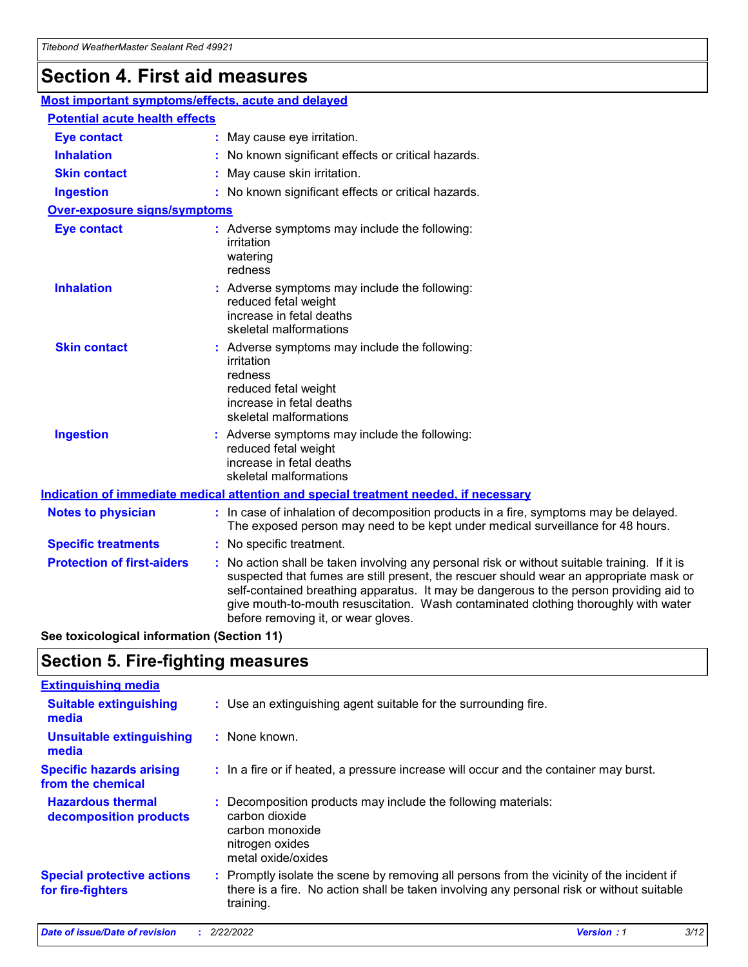## **Section 4. First aid measures**

| Most important symptoms/effects, acute and delayed |  |                                                                                                                                                                                                                                                                                                                                                                                                                 |
|----------------------------------------------------|--|-----------------------------------------------------------------------------------------------------------------------------------------------------------------------------------------------------------------------------------------------------------------------------------------------------------------------------------------------------------------------------------------------------------------|
| <b>Potential acute health effects</b>              |  |                                                                                                                                                                                                                                                                                                                                                                                                                 |
| <b>Eye contact</b>                                 |  | : May cause eye irritation.                                                                                                                                                                                                                                                                                                                                                                                     |
| <b>Inhalation</b>                                  |  | : No known significant effects or critical hazards.                                                                                                                                                                                                                                                                                                                                                             |
| <b>Skin contact</b>                                |  | : May cause skin irritation.                                                                                                                                                                                                                                                                                                                                                                                    |
| <b>Ingestion</b>                                   |  | : No known significant effects or critical hazards.                                                                                                                                                                                                                                                                                                                                                             |
| Over-exposure signs/symptoms                       |  |                                                                                                                                                                                                                                                                                                                                                                                                                 |
| <b>Eye contact</b>                                 |  | : Adverse symptoms may include the following:<br>irritation<br>watering<br>redness                                                                                                                                                                                                                                                                                                                              |
| <b>Inhalation</b>                                  |  | : Adverse symptoms may include the following:<br>reduced fetal weight<br>increase in fetal deaths<br>skeletal malformations                                                                                                                                                                                                                                                                                     |
| <b>Skin contact</b>                                |  | : Adverse symptoms may include the following:<br>irritation<br>redness<br>reduced fetal weight<br>increase in fetal deaths<br>skeletal malformations                                                                                                                                                                                                                                                            |
| <b>Ingestion</b>                                   |  | : Adverse symptoms may include the following:<br>reduced fetal weight<br>increase in fetal deaths<br>skeletal malformations                                                                                                                                                                                                                                                                                     |
|                                                    |  | <b>Indication of immediate medical attention and special treatment needed, if necessary</b>                                                                                                                                                                                                                                                                                                                     |
| <b>Notes to physician</b>                          |  | : In case of inhalation of decomposition products in a fire, symptoms may be delayed.<br>The exposed person may need to be kept under medical surveillance for 48 hours.                                                                                                                                                                                                                                        |
| <b>Specific treatments</b>                         |  | : No specific treatment.                                                                                                                                                                                                                                                                                                                                                                                        |
| <b>Protection of first-aiders</b>                  |  | : No action shall be taken involving any personal risk or without suitable training. If it is<br>suspected that fumes are still present, the rescuer should wear an appropriate mask or<br>self-contained breathing apparatus. It may be dangerous to the person providing aid to<br>give mouth-to-mouth resuscitation. Wash contaminated clothing thoroughly with water<br>before removing it, or wear gloves. |

**See toxicological information (Section 11)**

### **Section 5. Fire-fighting measures**

| <b>Extinguishing media</b>                             |                                                                                                                                                                                                     |
|--------------------------------------------------------|-----------------------------------------------------------------------------------------------------------------------------------------------------------------------------------------------------|
| <b>Suitable extinguishing</b><br>media                 | : Use an extinguishing agent suitable for the surrounding fire.                                                                                                                                     |
| <b>Unsuitable extinguishing</b><br>media               | : None known.                                                                                                                                                                                       |
| <b>Specific hazards arising</b><br>from the chemical   | : In a fire or if heated, a pressure increase will occur and the container may burst.                                                                                                               |
| <b>Hazardous thermal</b><br>decomposition products     | : Decomposition products may include the following materials:<br>carbon dioxide<br>carbon monoxide<br>nitrogen oxides<br>metal oxide/oxides                                                         |
| <b>Special protective actions</b><br>for fire-fighters | : Promptly isolate the scene by removing all persons from the vicinity of the incident if<br>there is a fire. No action shall be taken involving any personal risk or without suitable<br>training. |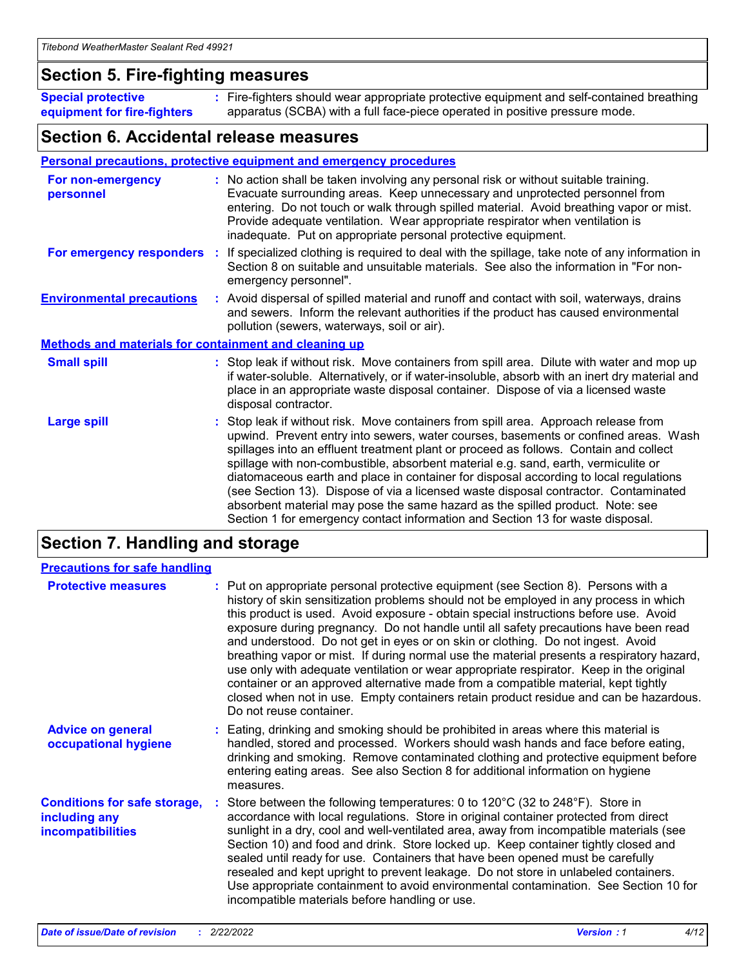### **Section 5. Fire-fighting measures**

**Special protective equipment for fire-fighters** Fire-fighters should wear appropriate protective equipment and self-contained breathing **:** apparatus (SCBA) with a full face-piece operated in positive pressure mode.

### **Section 6. Accidental release measures**

#### **Personal precautions, protective equipment and emergency procedures**

| For non-emergency<br>personnel                               | : No action shall be taken involving any personal risk or without suitable training.<br>Evacuate surrounding areas. Keep unnecessary and unprotected personnel from<br>entering. Do not touch or walk through spilled material. Avoid breathing vapor or mist.<br>Provide adequate ventilation. Wear appropriate respirator when ventilation is<br>inadequate. Put on appropriate personal protective equipment.                                                                                                                                                                                                                                                                                             |
|--------------------------------------------------------------|--------------------------------------------------------------------------------------------------------------------------------------------------------------------------------------------------------------------------------------------------------------------------------------------------------------------------------------------------------------------------------------------------------------------------------------------------------------------------------------------------------------------------------------------------------------------------------------------------------------------------------------------------------------------------------------------------------------|
| For emergency responders                                     | : If specialized clothing is required to deal with the spillage, take note of any information in<br>Section 8 on suitable and unsuitable materials. See also the information in "For non-<br>emergency personnel".                                                                                                                                                                                                                                                                                                                                                                                                                                                                                           |
| <b>Environmental precautions</b>                             | : Avoid dispersal of spilled material and runoff and contact with soil, waterways, drains<br>and sewers. Inform the relevant authorities if the product has caused environmental<br>pollution (sewers, waterways, soil or air).                                                                                                                                                                                                                                                                                                                                                                                                                                                                              |
| <b>Methods and materials for containment and cleaning up</b> |                                                                                                                                                                                                                                                                                                                                                                                                                                                                                                                                                                                                                                                                                                              |
| <b>Small spill</b>                                           | : Stop leak if without risk. Move containers from spill area. Dilute with water and mop up<br>if water-soluble. Alternatively, or if water-insoluble, absorb with an inert dry material and<br>place in an appropriate waste disposal container. Dispose of via a licensed waste<br>disposal contractor.                                                                                                                                                                                                                                                                                                                                                                                                     |
| <b>Large spill</b>                                           | : Stop leak if without risk. Move containers from spill area. Approach release from<br>upwind. Prevent entry into sewers, water courses, basements or confined areas. Wash<br>spillages into an effluent treatment plant or proceed as follows. Contain and collect<br>spillage with non-combustible, absorbent material e.g. sand, earth, vermiculite or<br>diatomaceous earth and place in container for disposal according to local regulations<br>(see Section 13). Dispose of via a licensed waste disposal contractor. Contaminated<br>absorbent material may pose the same hazard as the spilled product. Note: see<br>Section 1 for emergency contact information and Section 13 for waste disposal. |

### **Section 7. Handling and storage**

| <b>Precautions for safe handling</b>                                             |                                                                                                                                                                                                                                                                                                                                                                                                                                                                                                                                                                                                                                                                                                                                                                                                                                                  |
|----------------------------------------------------------------------------------|--------------------------------------------------------------------------------------------------------------------------------------------------------------------------------------------------------------------------------------------------------------------------------------------------------------------------------------------------------------------------------------------------------------------------------------------------------------------------------------------------------------------------------------------------------------------------------------------------------------------------------------------------------------------------------------------------------------------------------------------------------------------------------------------------------------------------------------------------|
| <b>Protective measures</b>                                                       | : Put on appropriate personal protective equipment (see Section 8). Persons with a<br>history of skin sensitization problems should not be employed in any process in which<br>this product is used. Avoid exposure - obtain special instructions before use. Avoid<br>exposure during pregnancy. Do not handle until all safety precautions have been read<br>and understood. Do not get in eyes or on skin or clothing. Do not ingest. Avoid<br>breathing vapor or mist. If during normal use the material presents a respiratory hazard,<br>use only with adequate ventilation or wear appropriate respirator. Keep in the original<br>container or an approved alternative made from a compatible material, kept tightly<br>closed when not in use. Empty containers retain product residue and can be hazardous.<br>Do not reuse container. |
| <b>Advice on general</b><br>occupational hygiene                                 | : Eating, drinking and smoking should be prohibited in areas where this material is<br>handled, stored and processed. Workers should wash hands and face before eating,<br>drinking and smoking. Remove contaminated clothing and protective equipment before<br>entering eating areas. See also Section 8 for additional information on hygiene<br>measures.                                                                                                                                                                                                                                                                                                                                                                                                                                                                                    |
| <b>Conditions for safe storage,</b><br>including any<br><b>incompatibilities</b> | Store between the following temperatures: 0 to 120°C (32 to 248°F). Store in<br>accordance with local regulations. Store in original container protected from direct<br>sunlight in a dry, cool and well-ventilated area, away from incompatible materials (see<br>Section 10) and food and drink. Store locked up. Keep container tightly closed and<br>sealed until ready for use. Containers that have been opened must be carefully<br>resealed and kept upright to prevent leakage. Do not store in unlabeled containers.<br>Use appropriate containment to avoid environmental contamination. See Section 10 for<br>incompatible materials before handling or use.                                                                                                                                                                         |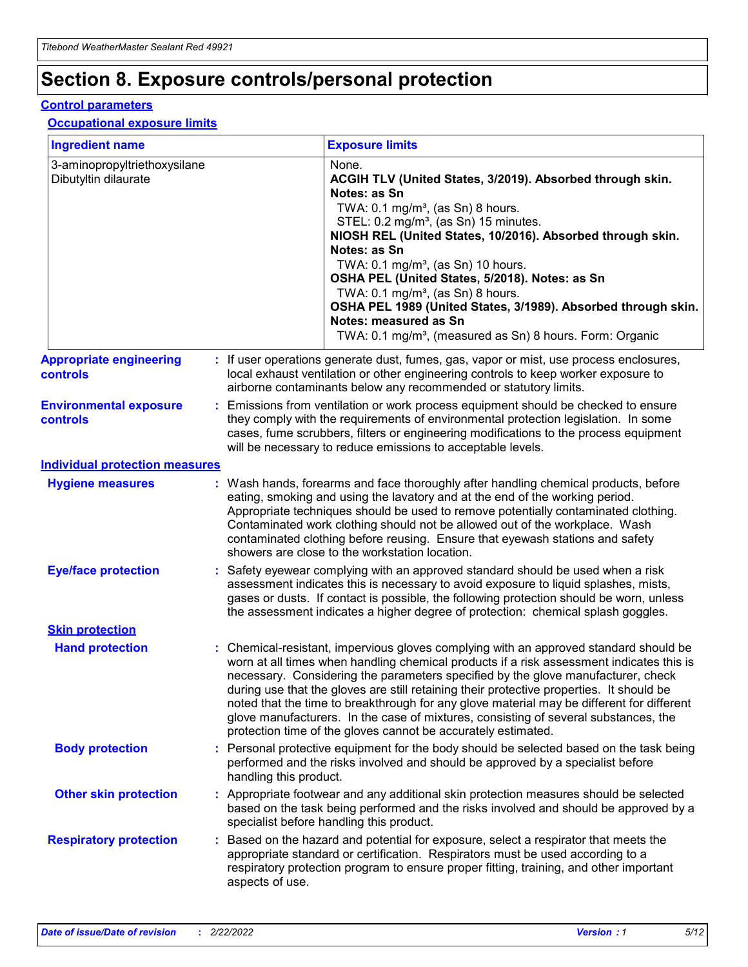## **Section 8. Exposure controls/personal protection**

#### **Control parameters**

#### **Occupational exposure limits**

| <b>Ingredient name</b>                               |    |                                          | <b>Exposure limits</b>                                                                                                                                                                                                                                                                                                                                                                                                                                                                                                                                                                                                 |
|------------------------------------------------------|----|------------------------------------------|------------------------------------------------------------------------------------------------------------------------------------------------------------------------------------------------------------------------------------------------------------------------------------------------------------------------------------------------------------------------------------------------------------------------------------------------------------------------------------------------------------------------------------------------------------------------------------------------------------------------|
| 3-aminopropyltriethoxysilane<br>Dibutyltin dilaurate |    |                                          | None.<br>ACGIH TLV (United States, 3/2019). Absorbed through skin.<br>Notes: as Sn<br>TWA: 0.1 mg/m <sup>3</sup> , (as Sn) 8 hours.<br>STEL: 0.2 mg/m <sup>3</sup> , (as Sn) 15 minutes.<br>NIOSH REL (United States, 10/2016). Absorbed through skin.<br>Notes: as Sn<br>TWA: 0.1 mg/m <sup>3</sup> , (as Sn) 10 hours.<br>OSHA PEL (United States, 5/2018). Notes: as Sn<br>TWA: $0.1 \text{ mg/m}^3$ , (as Sn) 8 hours.<br>OSHA PEL 1989 (United States, 3/1989). Absorbed through skin.<br>Notes: measured as Sn<br>TWA: 0.1 mg/m <sup>3</sup> , (measured as Sn) 8 hours. Form: Organic                           |
| <b>Appropriate engineering</b><br>controls           |    |                                          | : If user operations generate dust, fumes, gas, vapor or mist, use process enclosures,<br>local exhaust ventilation or other engineering controls to keep worker exposure to<br>airborne contaminants below any recommended or statutory limits.                                                                                                                                                                                                                                                                                                                                                                       |
| <b>Environmental exposure</b><br><b>controls</b>     |    |                                          | Emissions from ventilation or work process equipment should be checked to ensure<br>they comply with the requirements of environmental protection legislation. In some<br>cases, fume scrubbers, filters or engineering modifications to the process equipment<br>will be necessary to reduce emissions to acceptable levels.                                                                                                                                                                                                                                                                                          |
| <b>Individual protection measures</b>                |    |                                          |                                                                                                                                                                                                                                                                                                                                                                                                                                                                                                                                                                                                                        |
| <b>Hygiene measures</b>                              |    |                                          | : Wash hands, forearms and face thoroughly after handling chemical products, before<br>eating, smoking and using the lavatory and at the end of the working period.<br>Appropriate techniques should be used to remove potentially contaminated clothing.<br>Contaminated work clothing should not be allowed out of the workplace. Wash<br>contaminated clothing before reusing. Ensure that eyewash stations and safety<br>showers are close to the workstation location.                                                                                                                                            |
| <b>Eye/face protection</b>                           |    |                                          | : Safety eyewear complying with an approved standard should be used when a risk<br>assessment indicates this is necessary to avoid exposure to liquid splashes, mists,<br>gases or dusts. If contact is possible, the following protection should be worn, unless<br>the assessment indicates a higher degree of protection: chemical splash goggles.                                                                                                                                                                                                                                                                  |
| <b>Skin protection</b>                               |    |                                          |                                                                                                                                                                                                                                                                                                                                                                                                                                                                                                                                                                                                                        |
| <b>Hand protection</b>                               |    |                                          | : Chemical-resistant, impervious gloves complying with an approved standard should be<br>worn at all times when handling chemical products if a risk assessment indicates this is<br>necessary. Considering the parameters specified by the glove manufacturer, check<br>during use that the gloves are still retaining their protective properties. It should be<br>noted that the time to breakthrough for any glove material may be different for different<br>glove manufacturers. In the case of mixtures, consisting of several substances, the<br>protection time of the gloves cannot be accurately estimated. |
| <b>Body protection</b>                               |    | handling this product.                   | Personal protective equipment for the body should be selected based on the task being<br>performed and the risks involved and should be approved by a specialist before                                                                                                                                                                                                                                                                                                                                                                                                                                                |
| <b>Other skin protection</b>                         |    | specialist before handling this product. | : Appropriate footwear and any additional skin protection measures should be selected<br>based on the task being performed and the risks involved and should be approved by a                                                                                                                                                                                                                                                                                                                                                                                                                                          |
| <b>Respiratory protection</b>                        | ÷. | aspects of use.                          | Based on the hazard and potential for exposure, select a respirator that meets the<br>appropriate standard or certification. Respirators must be used according to a<br>respiratory protection program to ensure proper fitting, training, and other important                                                                                                                                                                                                                                                                                                                                                         |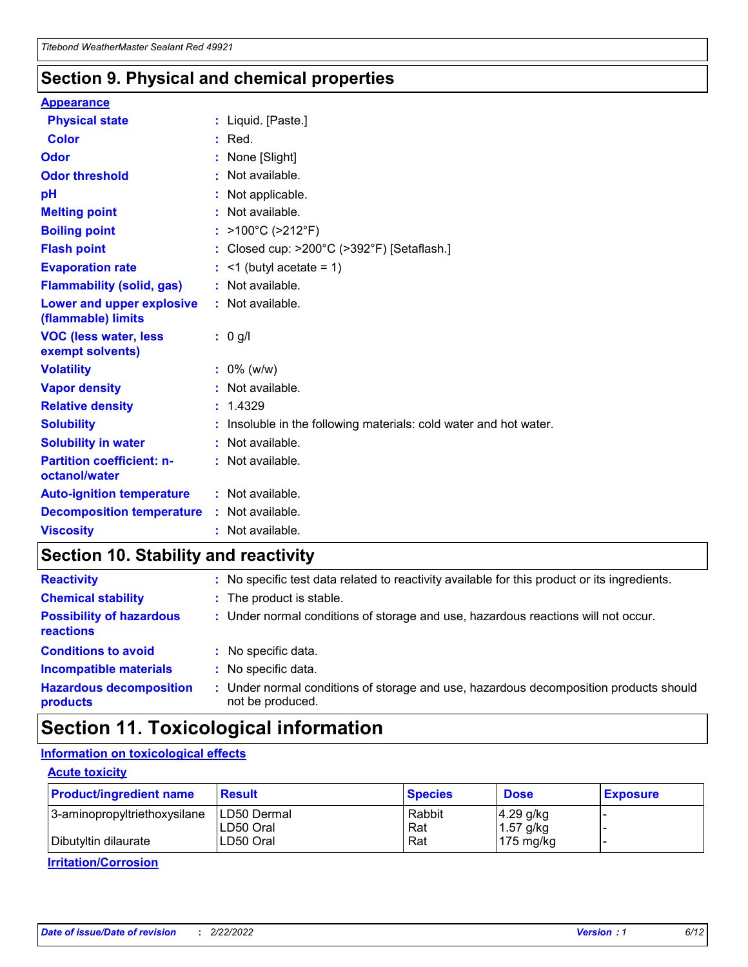### **Section 9. Physical and chemical properties**

#### **Appearance**

| <b>Physical state</b>                             | : Liquid. [Paste.]                                              |
|---------------------------------------------------|-----------------------------------------------------------------|
| <b>Color</b>                                      | $:$ Red.                                                        |
| Odor                                              | None [Slight]                                                   |
| <b>Odor threshold</b>                             | : Not available.                                                |
| рH                                                | : Not applicable.                                               |
| <b>Melting point</b>                              | : Not available.                                                |
| <b>Boiling point</b>                              | : >100°C (>212°F)                                               |
| <b>Flash point</b>                                | : Closed cup: >200°C (>392°F) [Setaflash.]                      |
| <b>Evaporation rate</b>                           | $:$ <1 (butyl acetate = 1)                                      |
| <b>Flammability (solid, gas)</b>                  | : Not available.                                                |
| Lower and upper explosive<br>(flammable) limits   | : Not available.                                                |
| <b>VOC (less water, less</b><br>exempt solvents)  | $: 0$ g/l                                                       |
|                                                   |                                                                 |
| <b>Volatility</b>                                 | $: 0\%$ (w/w)                                                   |
| <b>Vapor density</b>                              | : Not available.                                                |
| <b>Relative density</b>                           | : 1.4329                                                        |
| <b>Solubility</b>                                 | Insoluble in the following materials: cold water and hot water. |
| <b>Solubility in water</b>                        | : Not available.                                                |
| <b>Partition coefficient: n-</b><br>octanol/water | $:$ Not available.                                              |
| <b>Auto-ignition temperature</b>                  | : Not available.                                                |
| <b>Decomposition temperature</b>                  | : Not available.                                                |

## **Section 10. Stability and reactivity**

| <b>Reactivity</b>                            |    | : No specific test data related to reactivity available for this product or its ingredients.            |
|----------------------------------------------|----|---------------------------------------------------------------------------------------------------------|
| <b>Chemical stability</b>                    |    | : The product is stable.                                                                                |
| <b>Possibility of hazardous</b><br>reactions |    | : Under normal conditions of storage and use, hazardous reactions will not occur.                       |
| <b>Conditions to avoid</b>                   |    | : No specific data.                                                                                     |
| <b>Incompatible materials</b>                | ٠. | No specific data.                                                                                       |
| <b>Hazardous decomposition</b><br>products   | ÷. | Under normal conditions of storage and use, hazardous decomposition products should<br>not be produced. |

## **Section 11. Toxicological information**

### **Information on toxicological effects**

#### **Acute toxicity**

| <b>Product/ingredient name</b> | <b>Result</b>           | <b>Species</b> | <b>Dose</b>                | <b>Exposure</b> |
|--------------------------------|-------------------------|----------------|----------------------------|-----------------|
| 3-aminopropyltriethoxysilane   | <b>ILD50 Dermal</b>     | Rabbit         | 4.29 g/kg                  |                 |
| Dibutyltin dilaurate           | ILD50 Oral<br>LD50 Oral | Rat<br>Rat     | $1.57$ g/kg<br>175 $mg/kg$ |                 |
|                                |                         |                |                            |                 |

**Irritation/Corrosion**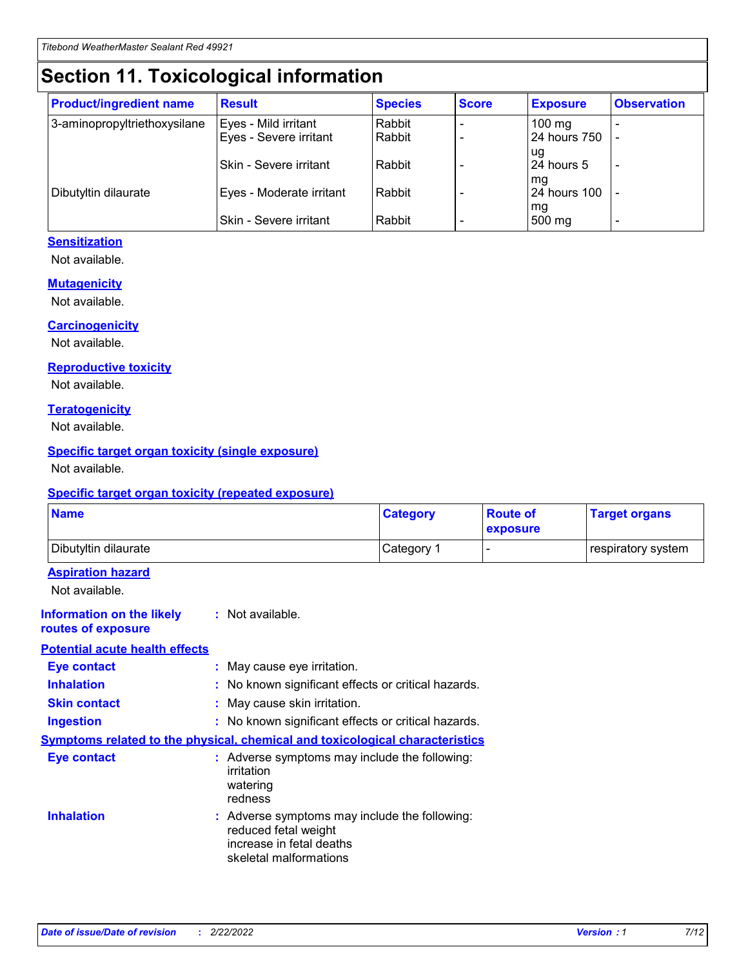## **Section 11. Toxicological information**

| <b>Product/ingredient name</b> | <b>Result</b>            | <b>Species</b> | <b>Score</b> | <b>Exposure</b>           | <b>Observation</b> |
|--------------------------------|--------------------------|----------------|--------------|---------------------------|--------------------|
| 3-aminopropyltriethoxysilane   | Eyes - Mild irritant     | Rabbit         |              | $100$ mg                  |                    |
|                                | Eyes - Severe irritant   | Rabbit         |              | 24 hours 750              |                    |
|                                |                          |                |              | ug                        |                    |
|                                | Skin - Severe irritant   | Rabbit         |              | 24 hours 5                | -                  |
| Dibutyltin dilaurate           | Eyes - Moderate irritant | Rabbit         |              | mq<br><b>24 hours 100</b> |                    |
|                                |                          |                |              | mg                        |                    |
|                                | Skin - Severe irritant   | Rabbit         |              | 500 mg                    |                    |

#### **Sensitization**

Not available.

#### **Mutagenicity**

Not available.

#### **Carcinogenicity**

Not available.

#### **Reproductive toxicity**

Not available.

#### **Teratogenicity**

Not available.

#### **Specific target organ toxicity (single exposure)**

Not available.

#### **Specific target organ toxicity (repeated exposure)**

| <b>Name</b>                                                                         |                                                                            | <b>Category</b>                                     | <b>Route of</b><br>exposure | <b>Target organs</b> |  |
|-------------------------------------------------------------------------------------|----------------------------------------------------------------------------|-----------------------------------------------------|-----------------------------|----------------------|--|
| Dibutyltin dilaurate                                                                |                                                                            | Category 1                                          |                             | respiratory system   |  |
| <b>Aspiration hazard</b><br>Not available.                                          |                                                                            |                                                     |                             |                      |  |
| <b>Information on the likely</b><br>routes of exposure                              | : Not available.                                                           |                                                     |                             |                      |  |
| <b>Potential acute health effects</b>                                               |                                                                            |                                                     |                             |                      |  |
| <b>Eye contact</b>                                                                  | : May cause eye irritation.                                                |                                                     |                             |                      |  |
| <b>Inhalation</b>                                                                   |                                                                            | : No known significant effects or critical hazards. |                             |                      |  |
| <b>Skin contact</b>                                                                 | : May cause skin irritation.                                               |                                                     |                             |                      |  |
| <b>Ingestion</b>                                                                    |                                                                            | : No known significant effects or critical hazards. |                             |                      |  |
| <b>Symptoms related to the physical, chemical and toxicological characteristics</b> |                                                                            |                                                     |                             |                      |  |
| <b>Eye contact</b>                                                                  | irritation<br>watering<br>redness                                          | : Adverse symptoms may include the following:       |                             |                      |  |
| <b>Inhalation</b>                                                                   | reduced fetal weight<br>increase in fetal deaths<br>skeletal malformations | : Adverse symptoms may include the following:       |                             |                      |  |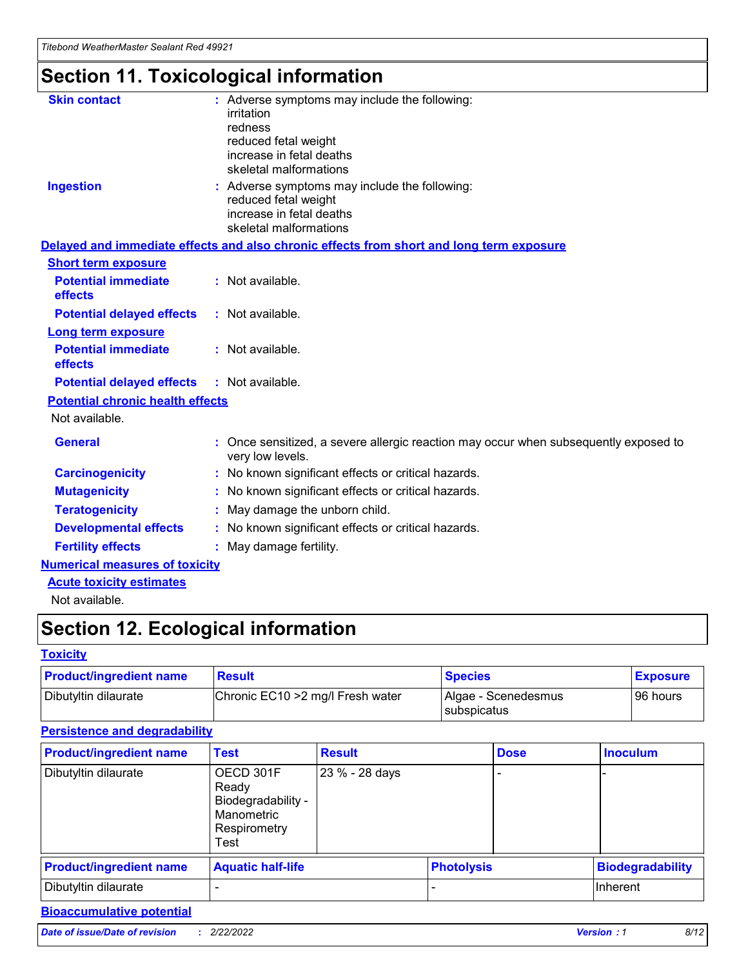## **Section 11. Toxicological information**

| <b>Skin contact</b>                     |                                                                                                          |
|-----------------------------------------|----------------------------------------------------------------------------------------------------------|
|                                         | : Adverse symptoms may include the following:<br>irritation                                              |
|                                         | redness                                                                                                  |
|                                         | reduced fetal weight                                                                                     |
|                                         | increase in fetal deaths                                                                                 |
|                                         | skeletal malformations                                                                                   |
| <b>Ingestion</b>                        | : Adverse symptoms may include the following:                                                            |
|                                         | reduced fetal weight                                                                                     |
|                                         | increase in fetal deaths                                                                                 |
|                                         | skeletal malformations                                                                                   |
|                                         | Delayed and immediate effects and also chronic effects from short and long term exposure                 |
| <b>Short term exposure</b>              |                                                                                                          |
| <b>Potential immediate</b>              | : Not available.                                                                                         |
| effects                                 |                                                                                                          |
| <b>Potential delayed effects</b>        | : Not available.                                                                                         |
| <b>Long term exposure</b>               |                                                                                                          |
| <b>Potential immediate</b>              | : Not available.                                                                                         |
| effects                                 |                                                                                                          |
| <b>Potential delayed effects</b>        | : Not available.                                                                                         |
| <b>Potential chronic health effects</b> |                                                                                                          |
| Not available.                          |                                                                                                          |
| <b>General</b>                          | : Once sensitized, a severe allergic reaction may occur when subsequently exposed to<br>very low levels. |
| <b>Carcinogenicity</b>                  | : No known significant effects or critical hazards.                                                      |
| <b>Mutagenicity</b>                     | No known significant effects or critical hazards.                                                        |
| <b>Teratogenicity</b>                   | May damage the unborn child.                                                                             |
| <b>Developmental effects</b>            | No known significant effects or critical hazards.                                                        |
| <b>Fertility effects</b>                | : May damage fertility.                                                                                  |
| <b>Numerical measures of toxicity</b>   |                                                                                                          |
| <b>Acute toxicity estimates</b>         |                                                                                                          |
|                                         |                                                                                                          |

Not available.

## **Section 12. Ecological information**

#### **Toxicity**

| <b>Product/ingredient name</b> | <b>Result</b>                     | <b>Species</b>                       | <b>Exposure</b> |
|--------------------------------|-----------------------------------|--------------------------------------|-----------------|
| Dibutyltin dilaurate           | Chronic EC10 > 2 mg/l Fresh water | Algae - Scenedesmus<br>I subspicatus | l 96 hours i    |

### **Persistence and degradability**

| <b>Product/ingredient name</b> | <b>Test</b>                                                                    | <b>Result</b>  |  | <b>Dose</b>       | <b>Inoculum</b>         |
|--------------------------------|--------------------------------------------------------------------------------|----------------|--|-------------------|-------------------------|
| Dibutyltin dilaurate           | OECD 301F<br>Ready<br>Biodegradability -<br>Manometric<br>Respirometry<br>Test | 23 % - 28 days |  |                   |                         |
| <b>Product/ingredient name</b> | <b>Aquatic half-life</b>                                                       |                |  | <b>Photolysis</b> | <b>Biodegradability</b> |
| Dibutyltin dilaurate           |                                                                                |                |  |                   | Inherent                |

### **Bioaccumulative potential**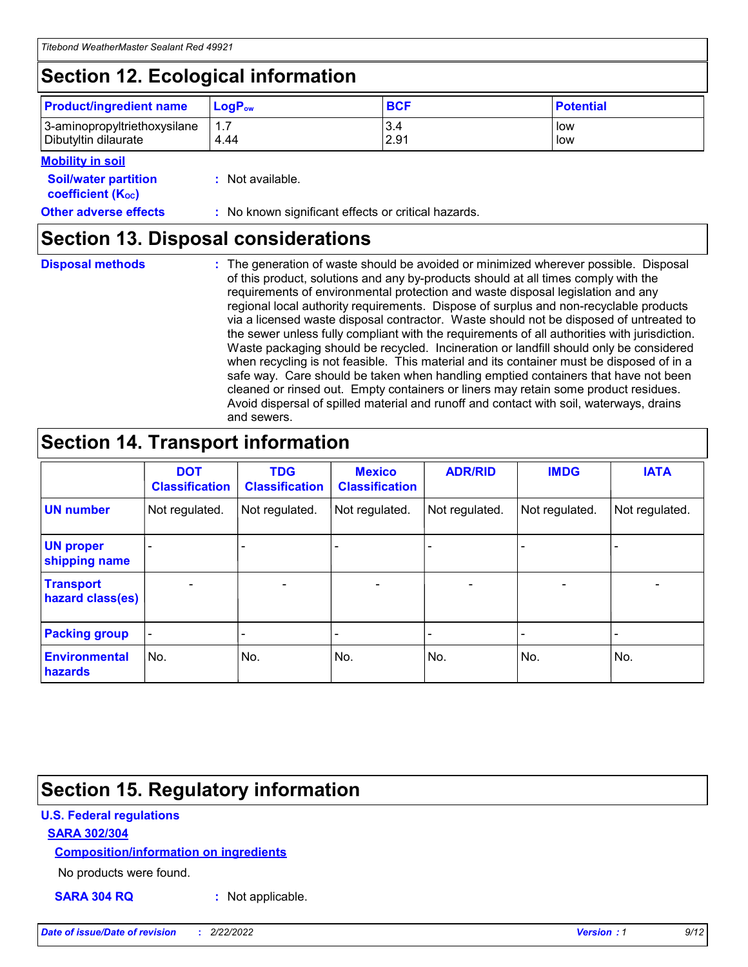## **Section 12. Ecological information**

| <b>Product/ingredient name</b>                       | ∣LoqP <sub>ow</sub> | <b>BCF</b>  | <b>Potential</b> |
|------------------------------------------------------|---------------------|-------------|------------------|
| 3-aminopropyltriethoxysilane<br>Dibutyltin dilaurate | 4.44                | 3.4<br>2.91 | low<br>low       |

#### **Mobility in soil**

| <b>Soil/water partition</b><br>coefficient (K <sub>oc</sub> ) | : Not available.                                    |
|---------------------------------------------------------------|-----------------------------------------------------|
| <b>Other adverse effects</b>                                  | : No known significant effects or critical hazards. |

### **Section 13. Disposal considerations**

| <b>Disposal methods</b> |  |  |
|-------------------------|--|--|

**Disposal methods** : The generation of waste should be avoided or minimized wherever possible. Disposal of this product, solutions and any by-products should at all times comply with the requirements of environmental protection and waste disposal legislation and any regional local authority requirements. Dispose of surplus and non-recyclable products via a licensed waste disposal contractor. Waste should not be disposed of untreated to the sewer unless fully compliant with the requirements of all authorities with jurisdiction. Waste packaging should be recycled. Incineration or landfill should only be considered when recycling is not feasible. This material and its container must be disposed of in a safe way. Care should be taken when handling emptied containers that have not been cleaned or rinsed out. Empty containers or liners may retain some product residues. Avoid dispersal of spilled material and runoff and contact with soil, waterways, drains and sewers.

## **Section 14. Transport information**

|                                      | <b>DOT</b><br><b>Classification</b> | <b>TDG</b><br><b>Classification</b> | <b>Mexico</b><br><b>Classification</b> | <b>ADR/RID</b>               | <b>IMDG</b>    | <b>IATA</b>    |
|--------------------------------------|-------------------------------------|-------------------------------------|----------------------------------------|------------------------------|----------------|----------------|
| <b>UN number</b>                     | Not regulated.                      | Not regulated.                      | Not regulated.                         | Not regulated.               | Not regulated. | Not regulated. |
| <b>UN proper</b><br>shipping name    |                                     |                                     |                                        |                              |                |                |
| <b>Transport</b><br>hazard class(es) | $\blacksquare$                      | $\overline{\phantom{0}}$            | $\overline{\phantom{a}}$               | $\qquad \qquad \blacksquare$ | $\blacksquare$ | $\blacksquare$ |
| <b>Packing group</b>                 | $\overline{\phantom{a}}$            | -                                   |                                        | -                            |                | -              |
| <b>Environmental</b><br>hazards      | No.                                 | No.                                 | No.                                    | No.                          | No.            | No.            |

### **Section 15. Regulatory information**

#### **U.S. Federal regulations**

#### **SARA 302/304**

#### **Composition/information on ingredients**

No products were found.

**SARA 304 RQ :** Not applicable.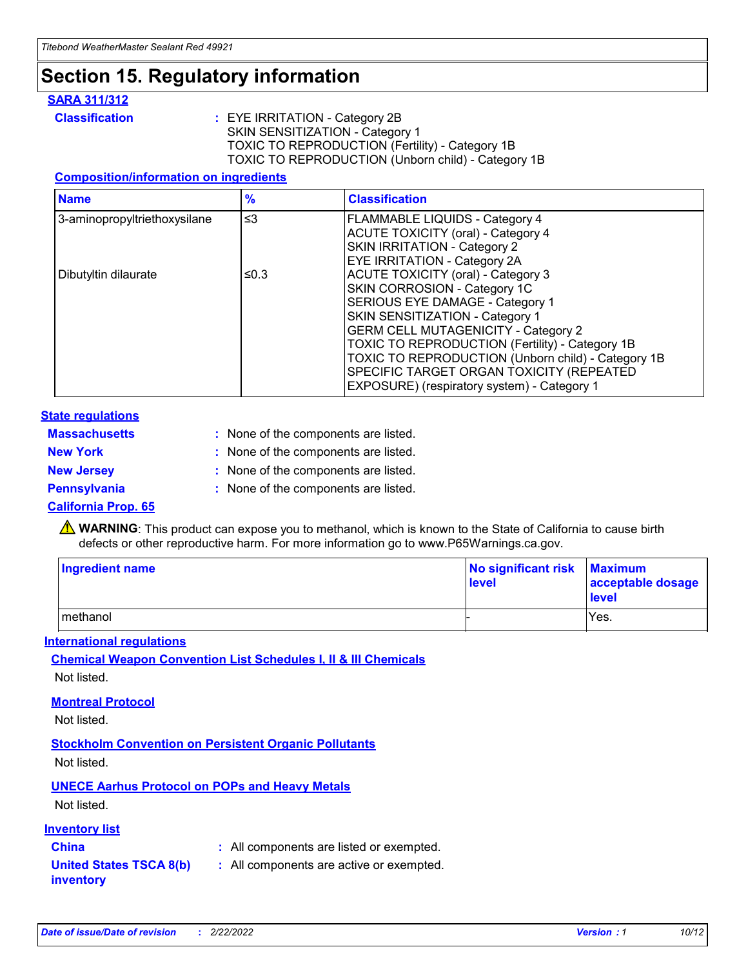## **Section 15. Regulatory information**

#### **SARA 311/312**

**Classification :** EYE IRRITATION - Category 2B SKIN SENSITIZATION - Category 1 TOXIC TO REPRODUCTION (Fertility) - Category 1B TOXIC TO REPRODUCTION (Unborn child) - Category 1B

#### **Composition/information on ingredients**

| <b>Name</b>                  | $\frac{9}{6}$ | <b>Classification</b>                                  |
|------------------------------|---------------|--------------------------------------------------------|
| 3-aminopropyltriethoxysilane | $\leq$ 3      | <b>FLAMMABLE LIQUIDS - Category 4</b>                  |
|                              |               | <b>ACUTE TOXICITY (oral) - Category 4</b>              |
|                              |               | SKIN IRRITATION - Category 2                           |
|                              |               | EYE IRRITATION - Category 2A                           |
| Dibutyltin dilaurate         | ≤0.3          | <b>ACUTE TOXICITY (oral) - Category 3</b>              |
|                              |               | SKIN CORROSION - Category 1C                           |
|                              |               | SERIOUS EYE DAMAGE - Category 1                        |
|                              |               | SKIN SENSITIZATION - Category 1                        |
|                              |               | <b>GERM CELL MUTAGENICITY - Category 2</b>             |
|                              |               | <b>TOXIC TO REPRODUCTION (Fertility) - Category 1B</b> |
|                              |               | TOXIC TO REPRODUCTION (Unborn child) - Category 1B     |
|                              |               | SPECIFIC TARGET ORGAN TOXICITY (REPEATED               |
|                              |               | EXPOSURE) (respiratory system) - Category 1            |

#### **State regulations**

| <b>Massachusetts</b> | : None of the components are listed. |
|----------------------|--------------------------------------|
| <b>New York</b>      | : None of the components are listed. |
| <b>New Jersey</b>    | : None of the components are listed. |
| <b>Pennsylvania</b>  | : None of the components are listed. |

#### **California Prop. 65**

**A** WARNING: This product can expose you to methanol, which is known to the State of California to cause birth defects or other reproductive harm. For more information go to www.P65Warnings.ca.gov.

| <b>Ingredient name</b> | No significant risk Maximum<br>level | acceptable dosage<br>level |
|------------------------|--------------------------------------|----------------------------|
| methanol               |                                      | Yes.                       |

#### **International regulations**

**Chemical Weapon Convention List Schedules I, II & III Chemicals** Not listed.

#### **Montreal Protocol**

Not listed.

**Stockholm Convention on Persistent Organic Pollutants**

Not listed.

### **UNECE Aarhus Protocol on POPs and Heavy Metals**

Not listed.

#### **Inventory list**

### **China :** All components are listed or exempted.

**United States TSCA 8(b) inventory :** All components are active or exempted.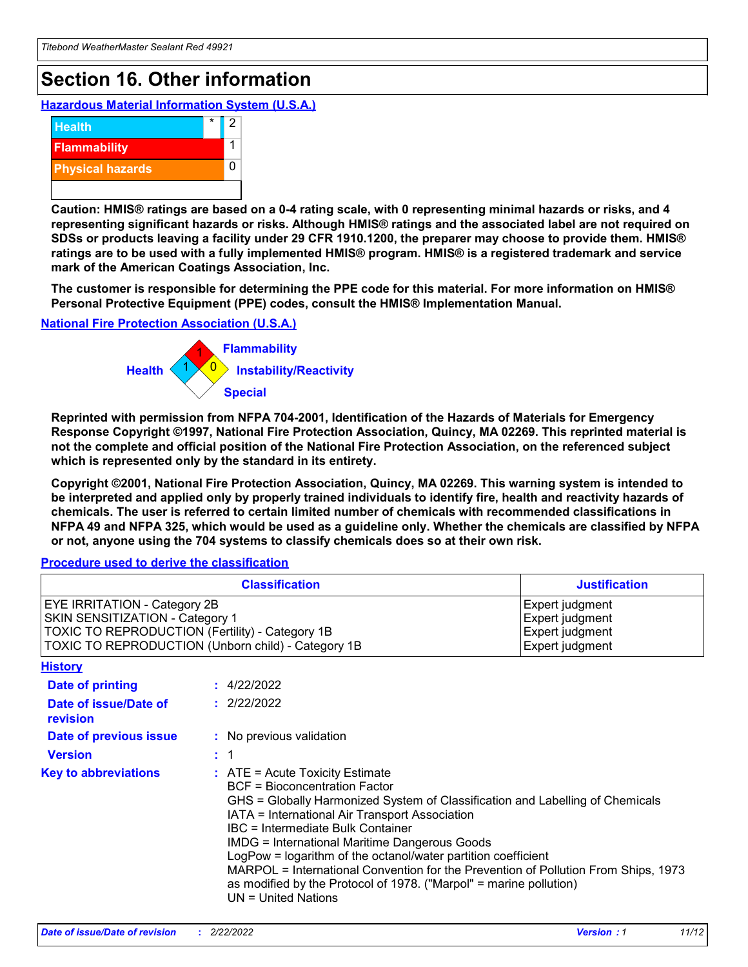## **Section 16. Other information**

**Hazardous Material Information System (U.S.A.)**



**Caution: HMIS® ratings are based on a 0-4 rating scale, with 0 representing minimal hazards or risks, and 4 representing significant hazards or risks. Although HMIS® ratings and the associated label are not required on SDSs or products leaving a facility under 29 CFR 1910.1200, the preparer may choose to provide them. HMIS® ratings are to be used with a fully implemented HMIS® program. HMIS® is a registered trademark and service mark of the American Coatings Association, Inc.**

**The customer is responsible for determining the PPE code for this material. For more information on HMIS® Personal Protective Equipment (PPE) codes, consult the HMIS® Implementation Manual.**

#### **National Fire Protection Association (U.S.A.)**



**Reprinted with permission from NFPA 704-2001, Identification of the Hazards of Materials for Emergency Response Copyright ©1997, National Fire Protection Association, Quincy, MA 02269. This reprinted material is not the complete and official position of the National Fire Protection Association, on the referenced subject which is represented only by the standard in its entirety.**

**Copyright ©2001, National Fire Protection Association, Quincy, MA 02269. This warning system is intended to be interpreted and applied only by properly trained individuals to identify fire, health and reactivity hazards of chemicals. The user is referred to certain limited number of chemicals with recommended classifications in NFPA 49 and NFPA 325, which would be used as a guideline only. Whether the chemicals are classified by NFPA or not, anyone using the 704 systems to classify chemicals does so at their own risk.**

#### **Procedure used to derive the classification**

|                                                                                                                                                                                 | <b>Classification</b>                                                                                                                                                                                                                                                                                                                                                                                                                                                                                                                                                           | <b>Justification</b>                                                     |  |
|---------------------------------------------------------------------------------------------------------------------------------------------------------------------------------|---------------------------------------------------------------------------------------------------------------------------------------------------------------------------------------------------------------------------------------------------------------------------------------------------------------------------------------------------------------------------------------------------------------------------------------------------------------------------------------------------------------------------------------------------------------------------------|--------------------------------------------------------------------------|--|
| <b>EYE IRRITATION - Category 2B</b><br>SKIN SENSITIZATION - Category 1<br>TOXIC TO REPRODUCTION (Fertility) - Category 1B<br>TOXIC TO REPRODUCTION (Unborn child) - Category 1B |                                                                                                                                                                                                                                                                                                                                                                                                                                                                                                                                                                                 | Expert judgment<br>Expert judgment<br>Expert judgment<br>Expert judgment |  |
| <b>History</b>                                                                                                                                                                  |                                                                                                                                                                                                                                                                                                                                                                                                                                                                                                                                                                                 |                                                                          |  |
| <b>Date of printing</b>                                                                                                                                                         | : 4/22/2022                                                                                                                                                                                                                                                                                                                                                                                                                                                                                                                                                                     |                                                                          |  |
| Date of issue/Date of<br>revision                                                                                                                                               | : 2/22/2022                                                                                                                                                                                                                                                                                                                                                                                                                                                                                                                                                                     |                                                                          |  |
| Date of previous issue                                                                                                                                                          | : No previous validation                                                                                                                                                                                                                                                                                                                                                                                                                                                                                                                                                        |                                                                          |  |
| <b>Version</b>                                                                                                                                                                  | $\therefore$ 1                                                                                                                                                                                                                                                                                                                                                                                                                                                                                                                                                                  |                                                                          |  |
| <b>Key to abbreviations</b>                                                                                                                                                     | $\therefore$ ATE = Acute Toxicity Estimate<br><b>BCF</b> = Bioconcentration Factor<br>GHS = Globally Harmonized System of Classification and Labelling of Chemicals<br>IATA = International Air Transport Association<br><b>IBC</b> = Intermediate Bulk Container<br><b>IMDG = International Maritime Dangerous Goods</b><br>LogPow = logarithm of the octanol/water partition coefficient<br>MARPOL = International Convention for the Prevention of Pollution From Ships, 1973<br>as modified by the Protocol of 1978. ("Marpol" = marine pollution)<br>$UN = United Nations$ |                                                                          |  |